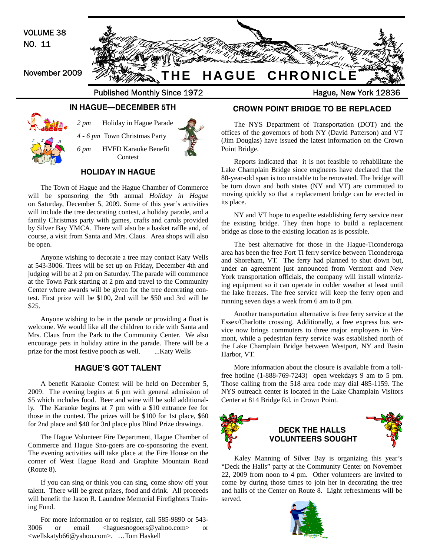

Lake Champlain Bridge since engineers have declared that the 80-year-old span is too unstable to be renovated. The bridge will be torn down and both states (NY and VT) are committed to moving quickly so that a replacement bridge can be erected in its place.

NY and VT hope to expedite establishing ferry service near the existing bridge. They then hope to build a replacement bridge as close to the existing location as is possible.

The best alternative for those in the Hague-Ticonderoga area has been the free Fort Ti ferry service between Ticonderoga and Shoreham, VT. The ferry had planned to shut down but, under an agreement just announced from Vermont and New York transportation officials, the company will install winterizing equipment so it can operate in colder weather at least until the lake freezes. The free service will keep the ferry open and running seven days a week from 6 am to 8 pm.

Another transportation alternative is free ferry service at the Essex/Charlotte crossing. Additionally, a free express bus service now brings commuters to three major employers in Vermont, while a pedestrian ferry service was established north of the Lake Champlain Bridge between Westport, NY and Basin Harbor, VT.

More information about the closure is available from a tollfree hotline (1-888-769-7243) open weekdays 9 am to 5 pm. Those calling from the 518 area code may dial 485-1159. The NYS outreach center is located in the Lake Champlain Visitors Center at 814 Bridge Rd. in Crown Point.



# **DECK THE HALLS VOLUNTEERS SOUGHT**

Kaley Manning of Silver Bay is organizing this year's "Deck the Halls" party at the Community Center on November 22, 2009 from noon to 4 pm. Other volunteers are invited to come by during those times to join her in decorating the tree and halls of the Center on Route 8. Light refreshments will be served.



# **HOLIDAY IN HAGUE**

The Town of Hague and the Hague Chamber of Commerce will be sponsoring the 9th annual *Holiday in Hague* on Saturday, December 5, 2009. Some of this year's activities will include the tree decorating contest, a holiday parade, and a family Christmas party with games, crafts and carols provided by Silver Bay YMCA. There will also be a basket raffle and, of course, a visit from Santa and Mrs. Claus. Area shops will also be open.

Anyone wishing to decorate a tree may contact Katy Wells at 543-3006. Trees will be set up on Friday, December 4th and judging will be at 2 pm on Saturday. The parade will commence at the Town Park starting at 2 pm and travel to the Community Center where awards will be given for the tree decorating contest. First prize will be \$100, 2nd will be \$50 and 3rd will be \$25.

Anyone wishing to be in the parade or providing a float is welcome. We would like all the children to ride with Santa and Mrs. Claus from the Park to the Community Center. We also encourage pets in holiday attire in the parade. There will be a prize for the most festive pooch as well. ....Katy Wells

# **HAGUE'S GOT TALENT**

A benefit Karaoke Contest will be held on December 5, 2009. The evening begins at 6 pm with general admission of \$5 which includes food. Beer and wine will be sold additionally. The Karaoke begins at 7 pm with a \$10 entrance fee for those in the contest. The prizes will be \$100 for 1st place, \$60 for 2nd place and \$40 for 3rd place plus Blind Prize drawings.

The Hague Volunteer Fire Department, Hague Chamber of Commerce and Hague Sno-goers are co-sponsoring the event. The evening activities will take place at the Fire House on the corner of West Hague Road and Graphite Mountain Road (Route 8).

If you can sing or think you can sing, come show off your talent. There will be great prizes, food and drink. All proceeds will benefit the Jason R. Laundree Memorial Firefighters Training Fund.

For more information or to register, call 585-9890 or 543- 3006 or email <haguesnogoers@yahoo.com> or <wellskatyb66@yahoo.com>. …Tom Haskell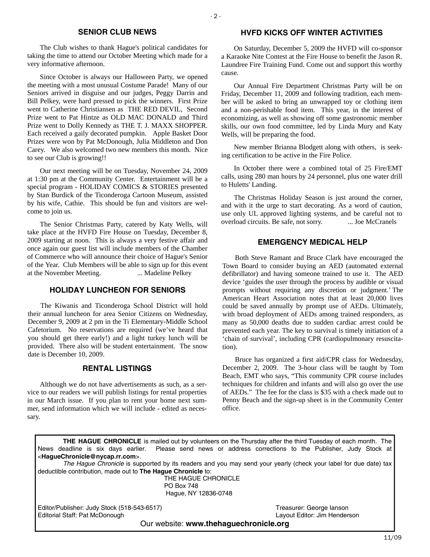# **SENIOR CLUB NEWS**

The Club wishes to thank Hague's political candidates for taking the time to attend our October Meeting which made for a very informative afternoon.

Since October is always our Halloween Party, we opened the meeting with a most unusual Costume Parade! Many of our Seniors arrived in disguise and our judges, Peggy Darrin and Bill Pelkey, were hard pressed to pick the winners. First Prize went to Catherine Christiansen as THE RED DEVIL, Second Prize went to Pat Hintze as OLD MAC DONALD and Third Prize went to Dolly Kennedy as THE T. J. MAXX SHOPPER. Each received a gaily decorated pumpkin. Apple Basket Door Prizes were won by Pat McDonough, Julia Middleton and Don Carey. We also welcomed two new members this month. Nice to see our Club is growing!!

Our next meeting will be on Tuesday, November 24, 2009 at 1:30 pm at the Community Center. Entertainment will be a special program - HOLIDAY COMICS & STORIES presented by Stan Burdick of the Ticonderoga Cartoon Museum, assisted by his wife, Cathie. This should be fun and visitors are welcome to join us.

The Senior Christmas Party, catered by Katy Wells, will take place at the HVFD Fire House on Tuesday, December 8, 2009 starting at noon. This is always a very festive affair and once again our guest list will include members of the Chamber of Commerce who will announce their choice of Hague's Senior of the Year. Club Members will be able to sign up for this event at the November Meeting. ... Madeline Pelkey

# **HOLIDAY LUNCHEON FOR SENIORS**

The Kiwanis and Ticonderoga School District will hold their annual luncheon for area Senior Citizens on Wednesday, December 9, 2009 at 2 pm in the Ti Elementary-Middle School Cafetorium. No reservations are required (we've heard that you should get there early!) and a light turkey lunch will be provided. There also will be student entertainment. The snow date is December 10, 2009.

# **RENTAL LISTINGS**

Although we do not have advertisements as such, as a service to our readers we will publish listings for rental properties in our March issue. If you plan to rent your home next summer, send information which we will include - edited as necessary.

# **HVFD KICKS OFF WINTER ACTIVITIES**

On Saturday, December 5, 2009 the HVFD will co-sponsor a Karaoke Nite Contest at the Fire House to benefit the Jason R. Laundree Fire Training Fund. Come out and support this worthy cause.

Our Annual Fire Department Christmas Party will be on Friday, December 11, 2009 and following tradition, each member will be asked to bring an unwrapped toy or clothing item and a non-perishable food item. This year, in the interest of economizing, as well as showing off some gastronomic member skills, our own food committee, led by Linda Mury and Katy Wells, will be preparing the food.

New member Brianna Blodgett along with others, is seeking certification to be active in the Fire Police.

In October there were a combined total of 25 Fire/EMT calls, using 280 man hours by 24 personnel, plus one water drill to Huletts' Landing.

The Christmas Holiday Season is just around the corner, and with it the urge to start decorating. As a word of caution, use only UL approved lighting systems, and be careful not to overload circuits. Be safe, not sorry. ... Joe McCranels

# **EMERGENCY MEDICAL HELP**

Both Steve Ramant and Bruce Clark have encouraged the Town Board to consider buying an AED (automated external defibrillator) and having someone trained to use it. The AED device 'guides the user through the process by audible or visual prompts without requiring any discretion or judgment.' The American Heart Association notes that at least 20,000 lives could be saved annually by prompt use of AEDs. Ultimately, with broad deployment of AEDs among trained responders, as many as 50,000 deaths due to sudden cardiac arrest could be prevented each year. The key to survival is timely initiation of a 'chain of survival', including CPR (cardiopulmonary resuscitation).

Bruce has organized a first aid/CPR class for Wednesday, December 2, 2009. The 3-hour class will be taught by Tom Beach, EMT who says, "This community CPR course includes techniques for children and infants and will also go over the use of AEDs." The fee for the class is \$35 with a check made out to Penny Beach and the sign-up sheet is in the Community Center office.

**THE HAGUE CHRONICLE** is mailed out by volunteers on the Thursday after the third Tuesday of each month. The News deadline is six days earlier. Please send news or address corrections to the Publisher, Judy Stock at <**HagueChronicle@nycap.rr.com**>.

*The Hague Chronicle* is supported by its readers and you may send your yearly (check your label for due date) tax deductible contribution, made out to **The Hague Chronicle** to:

> THE HAGUE CHRONICLE PO Box 748 Hague, NY 12836-0748

Editor/Publisher: Judy Stock (518-543-6517)<br>
Editorial Staff: Pat McDonough 
State Company Stock (518-543-6517)<br>
Layout Editor: Jim Henderson Editorial Staff: Pat McDonough

Our website: **www.thehaguechronicle.org**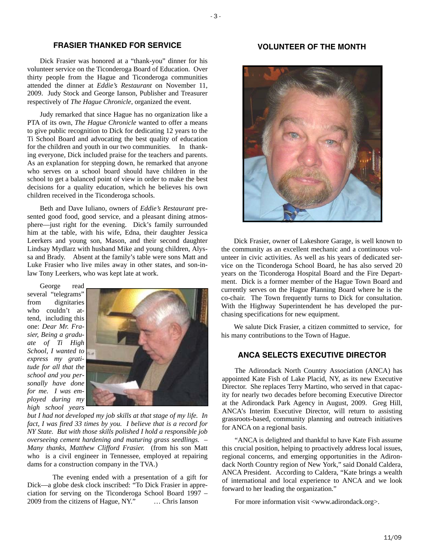### **FRASIER THANKED FOR SERVICE**

Dick Frasier was honored at a "thank-you" dinner for his volunteer service on the Ticonderoga Board of Education. Over thirty people from the Hague and Ticonderoga communities attended the dinner at *Eddie's Restaurant* on November 11, 2009. Judy Stock and George Ianson, Publisher and Treasurer respectively of *The Hague Chronicle*, organized the event.

Judy remarked that since Hague has no organization like a PTA of its own, *The Hague Chronicle* wanted to offer a means to give public recognition to Dick for dedicating 12 years to the Ti School Board and advocating the best quality of education for the children and youth in our two communities. In thanking everyone, Dick included praise for the teachers and parents. As an explanation for stepping down, he remarked that anyone who serves on a school board should have children in the school to get a balanced point of view in order to make the best decisions for a quality education, which he believes his own children received in the Ticonderoga schools.

Beth and Dave Iuliano, owners of *Eddie's Restaurant* presented good food, good service, and a pleasant dining atmosphere—just right for the evening. Dick's family surrounded him at the table, with his wife, Edna, their daughter Jessica Leerkers and young son, Mason, and their second daughter Lindsay Mydlarz with husband Mike and young children, Alyssa and Brady. Absent at the family's table were sons Matt and Luke Frasier who live miles away in other states, and son-inlaw Tony Leerkers, who was kept late at work.

George read several "telegrams" from dignitaries who couldn't attend, including this one: *Dear Mr. Frasier, Being a graduate of Ti High School, I wanted to express my gratitude for all that the school and you personally have done for me. I was employed during my high school years* 



*but I had not developed my job skills at that stage of my life. In fact, I was fired 33 times by you. I believe that is a record for NY State. But with those skills polished I hold a responsible job overseeing cement hardening and maturing grass seedlings. – Many thanks, Matthew Clifford Frasier.* (from his son Matt who is a civil engineer in Tennessee, employed at repairing dams for a construction company in the TVA.)

 The evening ended with a presentation of a gift for Dick—a globe desk clock inscribed: "To Dick Frasier in appreciation for serving on the Ticonderoga School Board 1997 – 2009 from the citizens of Hague, NY." … Chris Ianson

# **VOLUNTEER OF THE MONTH**



Dick Frasier, owner of Lakeshore Garage, is well known to the community as an excellent mechanic and a continuous volunteer in civic activities. As well as his years of dedicated service on the Ticonderoga School Board, he has also served 20 years on the Ticonderoga Hospital Board and the Fire Department. Dick is a former member of the Hague Town Board and currently serves on the Hague Planning Board where he is the co-chair. The Town frequently turns to Dick for consultation. With the Highway Superintendent he has developed the purchasing specifications for new equipment.

We salute Dick Frasier, a citizen committed to service, for his many contributions to the Town of Hague.

### **ANCA SELECTS EXECUTIVE DIRECTOR**

The Adirondack North Country Association (ANCA) has appointed Kate Fish of Lake Placid, NY, as its new Executive Director. She replaces Terry Martino, who served in that capacity for nearly two decades before becoming Executive Director at the Adirondack Park Agency in August, 2009. Greg Hill, ANCA's Interim Executive Director, will return to assisting grassroots-based, community planning and outreach initiatives for ANCA on a regional basis.

"ANCA is delighted and thankful to have Kate Fish assume this crucial position, helping to proactively address local issues, regional concerns, and emerging opportunities in the Adirondack North Country region of New York," said Donald Caldera, ANCA President. According to Caldera, "Kate brings a wealth of international and local experience to ANCA and we look forward to her leading the organization."

For more information visit <www.adirondack.org>.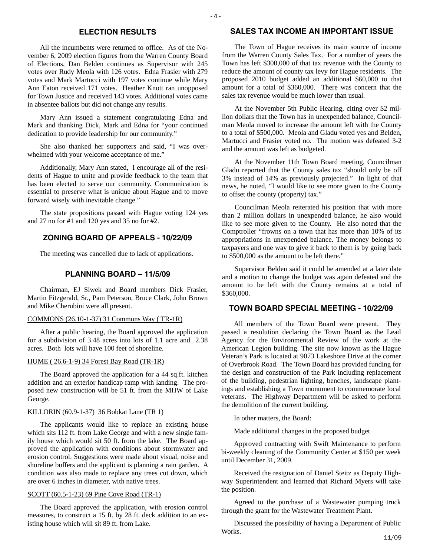# **ELECTION RESULTS**

All the incumbents were returned to office. As of the November 6, 2009 election figures from the Warren County Board of Elections, Dan Belden continues as Supervisor with 245 votes over Rudy Meola with 126 votes. Edna Frasier with 279 votes and Mark Martucci with 197 votes continue while Mary Ann Eaton received 171 votes. Heather Knott ran unopposed for Town Justice and received 143 votes. Additional votes came in absentee ballots but did not change any results.

Mary Ann issued a statement congratulating Edna and Mark and thanking Dick, Mark and Edna for "your continued dedication to provide leadership for our community."

She also thanked her supporters and said, "I was overwhelmed with your welcome acceptance of me."

Additionally, Mary Ann stated, I encourage all of the residents of Hague to unite and provide feedback to the team that has been elected to serve our community. Communication is essential to preserve what is unique about Hague and to move forward wisely with inevitable change."

The state propositions passed with Hague voting 124 yes and 27 no for #1 and 120 yes and 35 no for #2.

# **ZONING BOARD OF APPEALS - 10/22/09**

The meeting was cancelled due to lack of applications.

### **PLANNING BOARD – 11/5/09**

Chairman, EJ Siwek and Board members Dick Frasier, Martin Fitzgerald, Sr., Pam Peterson, Bruce Clark, John Brown and Mike Cherubini were all present.

#### COMMONS (26.10-1-37) 31 Commons Way ( TR-1R)

After a public hearing, the Board approved the application for a subdivision of 3.48 acres into lots of 1.1 acre and 2.38 acres. Both lots will have 100 feet of shoreline.

#### HUME ( 26.6-1-9) 34 Forest Bay Road (TR-1R)

The Board approved the application for a 44 sq.ft. kitchen addition and an exterior handicap ramp with landing. The proposed new construction will be 51 ft. from the MHW of Lake George.

# KILLORIN (60.9-1-37) 36 Bobkat Lane (TR 1)

The applicants would like to replace an existing house which sits 112 ft. from Lake George and with a new single family house which would sit 50 ft. from the lake. The Board approved the application with conditions about stormwater and erosion control. Suggestions were made about visual, noise and shoreline buffers and the applicant is planning a rain garden. A condition was also made to replace any trees cut down, which are over 6 inches in diameter, with native trees.

#### SCOTT (60.5-1-23) 69 Pine Cove Road (TR-1)

The Board approved the application, with erosion control measures, to construct a 15 ft. by 28 ft. deck addition to an existing house which will sit 89 ft. from Lake.

## **SALES TAX INCOME AN IMPORTANT ISSUE**

The Town of Hague receives its main source of income from the Warren County Sales Tax. For a number of years the Town has left \$300,000 of that tax revenue with the County to reduce the amount of county tax levy for Hague residents. The proposed 2010 budget added an additional \$60,000 to that amount for a total of \$360,000. There was concern that the sales tax revenue would be much lower than usual.

At the November 5th Public Hearing, citing over \$2 million dollars that the Town has in unexpended balance, Councilman Meola moved to increase the amount left with the County to a total of \$500,000. Meola and Gladu voted yes and Belden, Martucci and Frasier voted no. The motion was defeated 3-2 and the amount was left as budgeted.

At the November 11th Town Board meeting, Councilman Gladu reported that the County sales tax "should only be off 3% instead of 14% as previously projected." In light of that news, he noted, "I would like to see more given to the County to offset the county (property) tax."

Councilman Meola reiterated his position that with more than 2 million dollars in unexpended balance, he also would like to see more given to the County. He also noted that the Comptroller "frowns on a town that has more than 10% of its appropriations in unexpended balance. The money belongs to taxpayers and one way to give it back to them is by going back to \$500,000 as the amount to be left there."

Supervisor Belden said it could be amended at a later date and a motion to change the budget was again defeated and the amount to be left with the County remains at a total of \$360,000.

#### **TOWN BOARD SPECIAL MEETING - 10/22/09**

All members of the Town Board were present. They passed a resolution declaring the Town Board as the Lead Agency for the Environmental Review of the work at the American Legion building. The site now known as the Hague Veteran's Park is located at 9073 Lakeshore Drive at the corner of Overbrook Road. The Town Board has provided funding for the design and construction of the Park including replacement of the building, pedestrian lighting, benches, landscape plantings and establishing a Town monument to commemorate local veterans. The Highway Department will be asked to perform the demolition of the current building.

In other matters, the Board:

Made additional changes in the proposed budget

Approved contracting with Swift Maintenance to perform bi-weekly cleaning of the Community Center at \$150 per week until December 31, 2009.

Received the resignation of Daniel Steitz as Deputy Highway Superintendent and learned that Richard Myers will take the position.

Agreed to the purchase of a Wastewater pumping truck through the grant for the Wastewater Treatment Plant.

Discussed the possibility of having a Department of Public Works.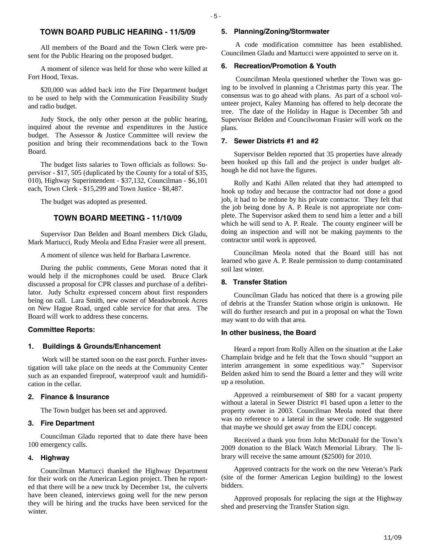# **TOWN BOARD PUBLIC HEARING - 11/5/09**

All members of the Board and the Town Clerk were present for the Public Hearing on the proposed budget.

A moment of silence was held for those who were killed at Fort Hood, Texas.

\$20,000 was added back into the Fire Department budget to be used to help with the Communication Feasibility Study and radio budget.

Judy Stock, the only other person at the public hearing, inquired about the revenue and expenditures in the Justice budget. The Assessor & Justice Committee will review the position and bring their recommendations back to the Town Board.

The budget lists salaries to Town officials as follows: Supervisor - \$17, 505 (duplicated by the County for a total of \$35, 010), Highway Superintendent - \$37,132, Councilman - \$6,101 each, Town Clerk - \$15,299 and Town Justice - \$8,487.

The budget was adopted as presented.

# **TOWN BOARD MEETING - 11/10/09**

Supervisor Dan Belden and Board members Dick Gladu, Mark Martucci, Rudy Meola and Edna Frasier were all present.

A moment of silence was held for Barbara Lawrence.

During the public comments, Gene Moran noted that it would help if the microphones could be used. Bruce Clark discussed a proposal for CPR classes and purchase of a defibrilator. Judy Schultz expressed concern about first responders being on call. Lara Smith, new owner of Meadowbrook Acres on New Hague Road, urged cable service for that area. The Board will work to address these concerns.

#### **Committee Reports:**

#### **1. Buildings & Grounds/Enhancement**

 Work will be started soon on the east porch. Further investigation will take place on the needs at the Community Center such as an expanded fireproof, waterproof vault and humidification in the cellar.

#### **2. Finance & Insurance**

The Town budget has been set and approved.

#### **3. Fire Department**

Councilman Gladu reported that to date there have been 100 emergency calls.

#### **4. Highway**

Councilman Martucci thanked the Highway Department for their work on the American Legion project. Then he reported that there will be a new truck by December 1st, the culverts have been cleaned, interviews going well for the new person they will be hiring and the trucks have been serviced for the winter.

### **5. Planning/Zoning/Stormwater**

 A code modification committee has been established. Councilmen Gladu and Martucci were appointed to serve on it.

#### **6. Recreation/Promotion & Youth**

 Councilman Meola questioned whether the Town was going to be involved in planning a Christmas party this year. The consensus was to go ahead with plans. As part of a school volunteer project, Kaley Manning has offered to help decorate the tree. The date of the Holiday in Hague is December 5th and Supervisor Belden and Councilwoman Frasier will work on the plans.

#### **7. Sewer Districts #1 and #2**

Supervisor Belden reported that 35 properties have already been hooked up this fall and the project is under budget although he did not have the figures.

Rolly and Kathi Allen related that they had attempted to hook up today and because the contractor had not done a good job, it had to be redone by his private contractor. They felt that the job being done by A. P. Reale is not appropriate nor complete. The Supervisor asked them to send him a letter and a bill which he will send to A. P. Reale. The county engineer will be doing an inspection and will not be making payments to the contractor until work is approved.

Councilman Meola noted that the Board still has not learned who gave A. P. Reale permission to dump contaminated soil last winter.

### **8. Transfer Station**

Councilman Gladu has noticed that there is a growing pile of debris at the Transfer Station whose origin is unknown. He will do further research and put in a proposal on what the Town may want to do with that area.

#### **In other business, the Board**

Heard a report from Rolly Allen on the situation at the Lake Champlain bridge and he felt that the Town should "support an interim arrangement in some expeditious way." Supervisor Belden asked him to send the Board a letter and they will write up a resolution.

Approved a reimbursement of \$80 for a vacant property without a lateral in Sewer District #1 based upon a letter to the property owner in 2003. Councilman Meola noted that there was no reference to a lateral in the sewer code. He suggested that maybe we should get away from the EDU concept.

Received a thank you from John McDonald for the Town's 2009 donation to the Black Watch Memorial Library. The library will receive the same amount (\$2500) for 2010.

Approved contracts for the work on the new Veteran's Park (site of the former American Legion building) to the lowest bidders.

Approved proposals for replacing the sign at the Highway shed and preserving the Transfer Station sign.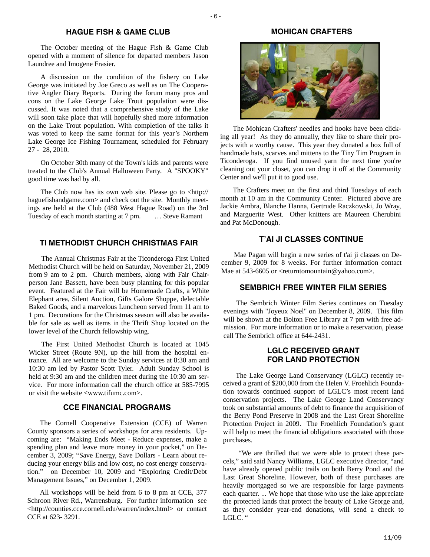## **HAGUE FISH & GAME CLUB**

The October meeting of the Hague Fish & Game Club opened with a moment of silence for departed members Jason Laundree and Imogene Frasier.

A discussion on the condition of the fishery on Lake George was initiated by Joe Greco as well as on The Cooperative Angler Diary Reports. During the forum many pros and cons on the Lake George Lake Trout population were discussed. It was noted that a comprehensive study of the Lake will soon take place that will hopefully shed more information on the Lake Trout population. With completion of the talks it was voted to keep the same format for this year's Northern Lake George Ice Fishing Tournament, scheduled for February 27 - 28, 2010.

On October 30th many of the Town's kids and parents were treated to the Club's Annual Halloween Party. A "SPOOKY" good time was had by all.

The Club now has its own web site. Please go to <http:// haguefishandgame.com> and check out the site. Monthly meetings are held at the Club (488 West Hague Road) on the 3rd Tuesday of each month starting at 7 pm. … Steve Ramant

# **TI METHODIST CHURCH CHRISTMAS FAIR**

The Annual Christmas Fair at the Ticonderoga First United Methodist Church will be held on Saturday, November 21, 2009 from 9 am to 2 pm. Church members, along with Fair Chairperson Jane Bassett, have been busy planning for this popular event. Featured at the Fair will be Homemade Crafts, a White Elephant area, Silent Auction, Gifts Galore Shoppe, delectable Baked Goods, and a marvelous Luncheon served from 11 am to 1 pm. Decorations for the Christmas season will also be available for sale as well as items in the Thrift Shop located on the lower level of the Church fellowship wing.

The First United Methodist Church is located at 1045 Wicker Street (Route 9N), up the hill from the hospital entrance. All are welcome to the Sunday services at 8:30 am and 10:30 am led by Pastor Scott Tyler. Adult Sunday School is held at 9:30 am and the children meet during the 10:30 am service. For more information call the church office at 585-7995 or visit the website <www.tifumc.com>.

# **CCE FINANCIAL PROGRAMS**

The Cornell Cooperative Extension (CCE) of Warren County sponsors a series of workshops for area residents. Upcoming are: "Making Ends Meet - Reduce expenses, make a spending plan and leave more money in your pocket," on December 3, 2009; "Save Energy, Save Dollars - Learn about reducing your energy bills and low cost, no cost energy conservation." on December 10, 2009 and "Exploring Credit/Debt Management Issues," on December 1, 2009.

All workshops will be held from 6 to 8 pm at CCE, 377 Schroon River Rd., Warrensburg. For further information see <http://counties.cce.cornell.edu/warren/index.html> or contact CCE at 623- 3291.

# **MOHICAN CRAFTERS**



The Mohican Crafters' needles and hooks have been clicking all year! As they do annually, they like to share their projects with a worthy cause. This year they donated a box full of handmade hats, scarves and mittens to the Tiny Tim Program in Ticonderoga. If you find unused yarn the next time you're cleaning out your closet, you can drop it off at the Community Center and we'll put it to good use.

The Crafters meet on the first and third Tuesdays of each month at 10 am in the Community Center. Pictured above are Jackie Ambra, Blanche Hanna, Gertrude Raczkowski, Jo Wray, and Marguerite West. Other knitters are Maureen Cherubini and Pat McDonough.

# **T'AI JI CLASSES CONTINUE**

Mae Pagan will begin a new series of t'ai ji classes on December 9, 2009 for 8 weeks. For further information contact Mae at 543-6605 or  $\leq$ returntomountain@yahoo.com>.

# **SEMBRICH FREE WINTER FILM SERIES**

The Sembrich Winter Film Series continues on Tuesday evenings with "Joyeux Noel" on December 8, 2009. This film will be shown at the Bolton Free Library at 7 pm with free admission. For more information or to make a reservation, please call The Sembrich office at 644-2431.

# **LGLC RECEIVED GRANT FOR LAND PROTECTION**

The Lake George Land Conservancy (LGLC) recently received a grant of \$200,000 from the Helen V. Froehlich Foundation towards continued support of LGLC's most recent land conservation projects. The Lake George Land Conservancy took on substantial amounts of debt to finance the acquisition of the Berry Pond Preserve in 2008 and the Last Great Shoreline Protection Project in 2009. The Froehlich Foundation's grant will help to meet the financial obligations associated with those purchases.

 "We are thrilled that we were able to protect these parcels," said said Nancy Williams, LGLC executive director, "and have already opened public trails on both Berry Pond and the Last Great Shoreline. However, both of these purchases are heavily mortgaged so we are responsible for large payments each quarter. ... We hope that those who use the lake appreciate the protected lands that protect the beauty of Lake George and, as they consider year-end donations, will send a check to LGLC. "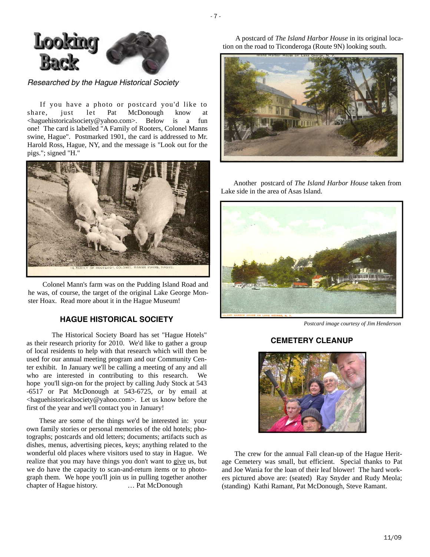

*Researched by the Hague Historical Society* 

If you have a photo or postcard you'd like to share, just let Pat McDonough know at <haguehistoricalsociety@yahoo.com>. Below is a fun one! The card is labelled "A Family of Rooters, Colonel Manns swine, Hague". Postmarked 1901, the card is addressed to Mr. Harold Ross, Hague, NY, and the message is "Look out for the pigs."; signed "H."



 Colonel Mann's farm was on the Pudding Island Road and he was, of course, the target of the original Lake George Monster Hoax. Read more about it in the Hague Museum!

# **HAGUE HISTORICAL SOCIETY**

 The Historical Society Board has set "Hague Hotels" as their research priority for 2010. We'd like to gather a group of local residents to help with that research which will then be used for our annual meeting program and our Community Center exhibit. In January we'll be calling a meeting of any and all who are interested in contributing to this research. We hope you'll sign-on for the project by calling Judy Stock at 543 -6517 or Pat McDonough at 543-6725, or by email at <haguehistoricalsociety@yahoo.com>. Let us know before the first of the year and we'll contact you in January!

These are some of the things we'd be interested in: your own family stories or personal memories of the old hotels; photographs; postcards and old letters; documents; artifacts such as dishes, menus, advertising pieces, keys; anything related to the wonderful old places where visitors used to stay in Hague. We realize that you may have things you don't want to give us, but we do have the capacity to scan-and-return items or to photograph them. We hope you'll join us in pulling together another chapter of Hague history. … Pat McDonough

A postcard of *The Island Harbor House* in its original location on the road to Ticonderoga (Route 9N) looking south.



Another postcard of *The Island Harbor House* taken from Lake side in the area of Asas Island.



*Postcard image courtesy of Jim Henderson* 

# **CEMETERY CLEANUP**



The crew for the annual Fall clean-up of the Hague Heritage Cemetery was small, but efficient. Special thanks to Pat and Joe Wania for the loan of their leaf blower! The hard workers pictured above are: (seated) Ray Snyder and Rudy Meola; (standing) Kathi Ramant, Pat McDonough, Steve Ramant.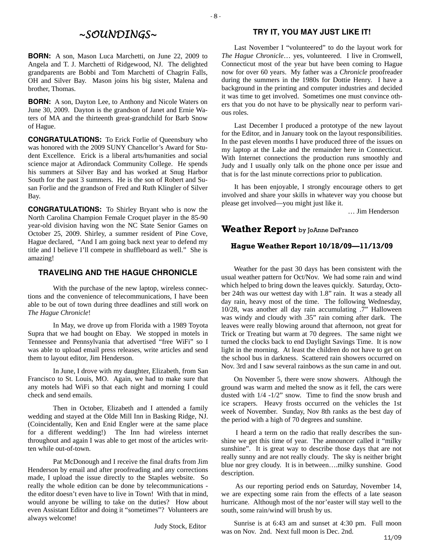# *~SOUNDINGS~*

**BORN:** A son, Mason Luca Marchetti, on June 22, 2009 to Angela and T. J. Marchetti of Ridgewood, NJ. The delighted grandparents are Bobbi and Tom Marchetti of Chagrin Falls, OH and Silver Bay. Mason joins his big sister, Malena and brother, Thomas.

**BORN:** A son, Dayton Lee, to Anthony and Nicole Waters on June 30, 2009. Dayton is the grandson of Janet and Ernie Waters of MA and the thirteenth great-grandchild for Barb Snow of Hague.

**CONGRATULATIONS:** To Erick Forlie of Queensbury who was honored with the 2009 SUNY Chancellor's Award for Student Excellence. Erick is a liberal arts/humanities and social science major at Adirondack Community College. He spends his summers at Silver Bay and has worked at Snug Harbor South for the past 3 summers. He is the son of Robert and Susan Forlie and the grandson of Fred and Ruth Klingler of Silver Bay.

**CONGRATULATIONS:** To Shirley Bryant who is now the North Carolina Champion Female Croquet player in the 85-90 year-old division having won the NC State Senior Games on October 25, 2009. Shirley, a summer resident of Pine Cove, Hague declared, "And I am going back next year to defend my title and I believe I'll compete in shuffleboard as well." She is amazing!

# **TRAVELING AND THE HAGUE CHRONICLE**

 With the purchase of the new laptop, wireless connections and the convenience of telecommunications, I have been able to be out of town during three deadlines and still work on *The Hague Chronicle*!

 In May, we drove up from Florida with a 1989 Toyota Supra that we had bought on Ebay. We stopped in motels in Tennessee and Pennsylvania that advertised "free WiFi" so I was able to upload email press releases, write articles and send them to layout editor, Jim Henderson.

 In June, I drove with my daughter, Elizabeth, from San Francisco to St. Louis, MO. Again, we had to make sure that any motels had WiFi so that each night and morning I could check and send emails.

 Then in October, Elizabeth and I attended a family wedding and stayed at the Olde Mill Inn in Basking Ridge, NJ. (Coincidentally, Ken and Enid Engler were at the same place for a different wedding!) The Inn had wireless internet throughout and again I was able to get most of the articles written while out-of-town.

 Pat McDonough and I receive the final drafts from Jim Henderson by email and after proofreading and any corrections made, I upload the issue directly to the Staples website. So really the whole edition can be done by telecommunications the editor doesn't even have to live in Town! With that in mind, would anyone be willing to take on the duties? How about even Assistant Editor and doing it "sometimes"? Volunteers are always welcome!

Judy Stock, Editor

# **TRY IT, YOU MAY JUST LIKE IT!**

Last November I "volunteered" to do the layout work for *The Hague Chronicle*… yes, volunteered. I live in Cromwell, Connecticut most of the year but have been coming to Hague now for over 60 years. My father was a *Chronicle* proofreader during the summers in the 1980s for Dottie Henry. I have a background in the printing and computer industries and decided it was time to get involved. Sometimes one must convince others that you do not have to be physically near to perform various roles.

Last December I produced a prototype of the new layout for the Editor, and in January took on the layout responsibilities. In the past eleven months I have produced three of the issues on my laptop at the Lake and the remainder here in Connecticut. With Internet connections the production runs smoothly and Judy and I usually only talk on the phone once per issue and that is for the last minute corrections prior to publication.

It has been enjoyable, I strongly encourage others to get involved and share your skills in whatever way you choose but please get involved—you might just like it.

… Jim Henderson

# **Weather Report** by JoAnne DeFranco

# **Hague Weather Report 10/18/09—11/13/09**

Weather for the past 30 days has been consistent with the usual weather pattern for Oct/Nov. We had some rain and wind which helped to bring down the leaves quickly. Saturday, October 24th was our wettest day with 1.8" rain. It was a steady all day rain, heavy most of the time. The following Wednesday, 10/28, was another all day rain accumulating .7" Halloween was windy and cloudy with .35" rain coming after dark. The leaves were really blowing around that afternoon, not great for Trick or Treating but warm at 70 degrees. The same night we turned the clocks back to end Daylight Savings Time. It is now light in the morning. At least the children do not have to get on the school bus in darkness. Scattered rain showers occurred on Nov. 3rd and I saw several rainbows as the sun came in and out.

On November 5, there were snow showers. Although the ground was warm and melted the snow as it fell, the cars were dusted with 1/4 -1/2" snow. Time to find the snow brush and ice scrapers. Heavy frosts occurred on the vehicles the 1st week of November. Sunday, Nov 8th ranks as the best day of the period with a high of 70 degrees and sunshine.

 I heard a term on the radio that really describes the sunshine we get this time of year. The announcer called it "milky sunshine". It is great way to describe those days that are not really sunny and are not really cloudy. The sky is neither bright blue nor grey cloudy. It is in between….milky sunshine. Good description.

 As our reporting period ends on Saturday, November 14, we are expecting some rain from the effects of a late season hurricane. Although most of the nor'easter will stay well to the south, some rain/wind will brush by us.

Sunrise is at 6:43 am and sunset at 4:30 pm. Full moon was on Nov. 2nd. Next full moon is Dec. 2nd.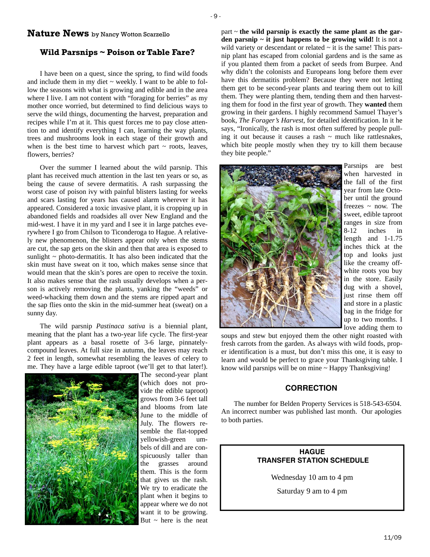# **Nature News** by Nancy Wotton Scarzello

# **Wild Parsnips ~ Poison or Table Fare?**

I have been on a quest, since the spring, to find wild foods and include them in my diet  $\sim$  weekly. I want to be able to follow the seasons with what is growing and edible and in the area where I live. I am not content with "foraging for berries" as my mother once worried, but determined to find delicious ways to serve the wild things, documenting the harvest, preparation and recipes while I'm at it. This quest forces me to pay close attention to and identify everything I can, learning the way plants, trees and mushrooms look in each stage of their growth and when is the best time to harvest which part  $\sim$  roots, leaves, flowers, berries?

Over the summer I learned about the wild parsnip. This plant has received much attention in the last ten years or so, as being the cause of severe dermatitis. A rash surpassing the worst case of poison ivy with painful blisters lasting for weeks and scars lasting for years has caused alarm wherever it has appeared. Considered a toxic invasive plant, it is cropping up in abandoned fields and roadsides all over New England and the mid-west. I have it in my yard and I see it in large patches everywhere I go from Chilson to Ticonderoga to Hague. A relatively new phenomenon, the blisters appear only when the stems are cut, the sap gets on the skin and then that area is exposed to sunlight  $\sim$  photo-dermatitis. It has also been indicated that the skin must have sweat on it too, which makes sense since that would mean that the skin's pores are open to receive the toxin. It also makes sense that the rash usually develops when a person is actively removing the plants, yanking the "weeds" or weed-whacking them down and the stems are ripped apart and the sap flies onto the skin in the mid-summer heat (sweat) on a sunny day.

The wild parsnip *Pastinaca sativa* is a biennial plant, meaning that the plant has a two-year life cycle. The first-year plant appears as a basal rosette of 3-6 large, pinnatelycompound leaves. At full size in autumn, the leaves may reach 2 feet in length, somewhat resembling the leaves of celery to me. They have a large edible taproot (we'll get to that later!).



The second-year plant (which does not provide the edible taproot) grows from 3-6 feet tall and blooms from late June to the middle of July. The flowers resemble the flat-topped yellowish-green umbels of dill and are conspicuously taller than the grasses around them. This is the form that gives us the rash. We try to eradicate the plant when it begins to appear where we do not want it to be growing. But  $\sim$  here is the neat

part ~ **the wild parsnip is exactly the same plant as the garden parsnip**  $\sim$  **it just happens to be growing wild!** It is not a wild variety or descendant or related  $\sim$  it is the same! This parsnip plant has escaped from colonial gardens and is the same as if you planted them from a packet of seeds from Burpee. And why didn't the colonists and Europeans long before them ever have this dermatitis problem? Because they were not letting them get to be second-year plants and tearing them out to kill them. They were planting them, tending them and then harvesting them for food in the first year of growth. They **wanted** them growing in their gardens. I highly recommend Samuel Thayer's book, *The Forager's Harvest*, for detailed identification. In it he says, "Ironically, the rash is most often suffered by people pulling it out because it causes a rash  $\sim$  much like rattlesnakes, which bite people mostly when they try to kill them because they bite people."



Parsnips are best when harvested in the fall of the first year from late October until the ground freezes  $\sim$  now. The sweet, edible taproot ranges in size from 8-12 inches in length and 1-1.75 inches thick at the top and looks just like the creamy offwhite roots you buy in the store. Easily dug with a shovel, just rinse them off and store in a plastic bag in the fridge for up to two months. I love adding them to

soups and stew but enjoyed them the other night roasted with fresh carrots from the garden. As always with wild foods, proper identification is a must, but don't miss this one, it is easy to learn and would be perfect to grace your Thanksgiving table. I know wild parsnips will be on mine ~ Happy Thanksgiving!

## **CORRECTION**

The number for Belden Property Services is 518-543-6504. An incorrect number was published last month. Our apologies to both parties.

# **HAGUE TRANSFER STATION SCHEDULE**

Wednesday 10 am to 4 pm

Saturday 9 am to 4 pm